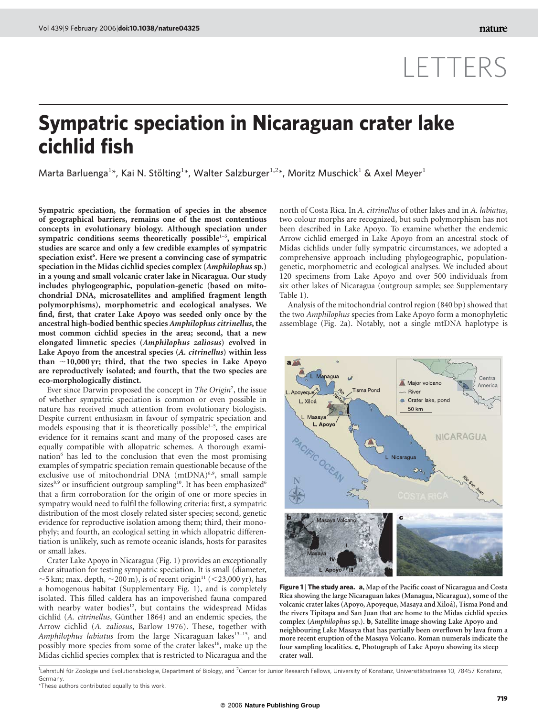## LETTERS

## Sympatric speciation in Nicaraguan crater lake cichlid fish

Marta Barluenga<sup>1\*</sup>, Kai N. Stölting<sup>1\*</sup>, Walter Salzburger<sup>1,2\*</sup>, Moritz Muschick<sup>1</sup> & Axel Meyer<sup>1</sup>

Sympatric speciation, the formation of species in the absence of geographical barriers, remains one of the most contentious concepts in evolutionary biology. Although speciation under sympatric conditions seems theoretically possible<sup>1-5</sup>, empirical studies are scarce and only a few credible examples of sympatric speciation exist<sup>6</sup>. Here we present a convincing case of sympatric speciation in the Midas cichlid species complex (Amphilophus sp.) in a young and small volcanic crater lake in Nicaragua. Our study includes phylogeographic, population-genetic (based on mitochondrial DNA, microsatellites and amplified fragment length polymorphisms), morphometric and ecological analyses. We find, first, that crater Lake Apoyo was seeded only once by the ancestral high-bodied benthic species Amphilophus citrinellus, the most common cichlid species in the area; second, that a new elongated limnetic species (Amphilophus zaliosus) evolved in Lake Apoyo from the ancestral species (A. citrinellus) within less than  $\sim$ 10,000 yr; third, that the two species in Lake Apoyo are reproductively isolated; and fourth, that the two species are eco-morphologically distinct.

Ever since Darwin proposed the concept in The Origin<sup>7</sup>, the issue of whether sympatric speciation is common or even possible in nature has received much attention from evolutionary biologists. Despite current enthusiasm in favour of sympatric speciation and models espousing that it is theoretically possible<sup> $1-5$ </sup>, the empirical evidence for it remains scant and many of the proposed cases are equally compatible with allopatric schemes. A thorough examination<sup>6</sup> has led to the conclusion that even the most promising examples of sympatric speciation remain questionable because of the exclusive use of mitochondrial DNA  $(mtDNA)^{8,9}$ , small sample sizes<sup>8,9</sup> or insufficient outgroup sampling<sup>10</sup>. It has been emphasized<sup>6</sup> that a firm corroboration for the origin of one or more species in sympatry would need to fulfil the following criteria: first, a sympatric distribution of the most closely related sister species; second, genetic evidence for reproductive isolation among them; third, their monophyly; and fourth, an ecological setting in which allopatric differentiation is unlikely, such as remote oceanic islands, hosts for parasites or small lakes.

Crater Lake Apoyo in Nicaragua (Fig. 1) provides an exceptionally clear situation for testing sympatric speciation. It is small (diameter,  $\sim$ 5 km; max. depth,  $\sim$ 200 m), is of recent origin<sup>11</sup> (<23,000 yr), has a homogenous habitat (Supplementary Fig. 1), and is completely isolated. This filled caldera has an impoverished fauna compared with nearby water bodies<sup>12</sup>, but contains the widespread Midas cichlid (A. citrinellus, Günther 1864) and an endemic species, the Arrow cichlid (A. zaliosus, Barlow 1976). These, together with Amphilophus labiatus from the large Nicaraguan lakes<sup>13-15</sup>, and possibly more species from some of the crater lakes<sup>16</sup>, make up the Midas cichlid species complex that is restricted to Nicaragua and the north of Costa Rica. In A. citrinellus of other lakes and in A. labiatus, two colour morphs are recognized, but such polymorphism has not been described in Lake Apoyo. To examine whether the endemic Arrow cichlid emerged in Lake Apoyo from an ancestral stock of Midas cichlids under fully sympatric circumstances, we adopted a comprehensive approach including phylogeographic, populationgenetic, morphometric and ecological analyses. We included about 120 specimens from Lake Apoyo and over 500 individuals from six other lakes of Nicaragua (outgroup sample; see Supplementary Table 1).

Analysis of the mitochondrial control region (840 bp) showed that the two Amphilophus species from Lake Apoyo form a monophyletic assemblage (Fig. 2a). Notably, not a single mtDNA haplotype is



Figure 1 | The study area. a, Map of the Pacific coast of Nicaragua and Costa Rica showing the large Nicaraguan lakes (Managua, Nicaragua), some of the volcanic crater lakes (Apoyo, Apoyeque, Masaya and Xiloá), Tisma Pond and the rivers Tipitapa and San Juan that are home to the Midas cichlid species complex (Amphilophus sp.). b, Satellite image showing Lake Apoyo and neighbouring Lake Masaya that has partially been overflown by lava from a more recent eruption of the Masaya Volcano. Roman numerals indicate the four sampling localities. c, Photograph of Lake Apoyo showing its steep crater wall.

<sup>&</sup>lt;sup>1</sup>Lehrstuhl für Zoologie und Evolutionsbiologie, Department of Biology, and <sup>2</sup>Center for Junior Research Fellows, University of Konstanz, Universitätsstrasse 10, 78457 Konstanz, Germany.

<sup>\*</sup>These authors contributed equally to this work.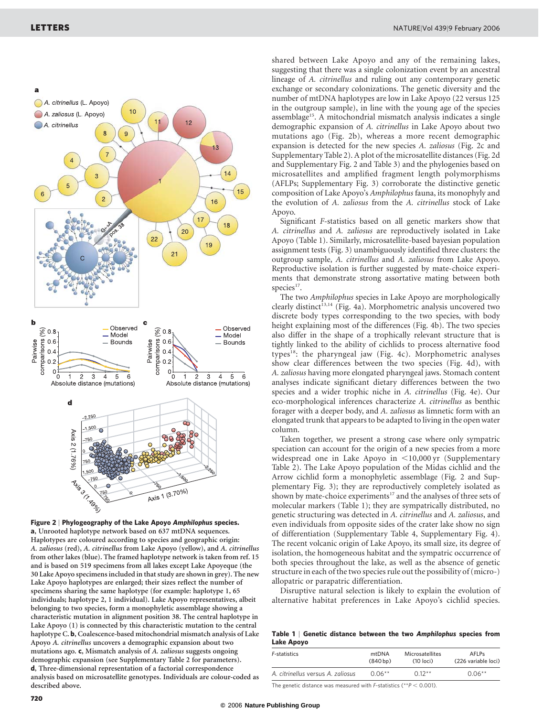A. citrinellus (L. Apoyo)



lineage of A. citrinellus and ruling out any contemporary genetic exchange or secondary colonizations. The genetic diversity and the number of mtDNA haplotypes are low in Lake Apoyo (22 versus 125 in the outgroup sample), in line with the young age of the species assemblage<sup>15</sup>. A mitochondrial mismatch analysis indicates a single demographic expansion of A. citrinellus in Lake Apoyo about two mutations ago (Fig. 2b), whereas a more recent demographic expansion is detected for the new species A. zaliosus (Fig. 2c and Supplementary Table 2). A plot of the microsatellite distances (Fig. 2d and Supplementary Fig. 2 and Table 3) and the phylogenies based on microsatellites and amplified fragment length polymorphisms (AFLPs; Supplementary Fig. 3) corroborate the distinctive genetic composition of Lake Apoyo's Amphilophus fauna, its monophyly and the evolution of A. zaliosus from the A. citrinellus stock of Lake Apoyo.

Significant F-statistics based on all genetic markers show that A. citrinellus and A. zaliosus are reproductively isolated in Lake Apoyo (Table 1). Similarly, microsatellite-based bayesian population assignment tests (Fig. 3) unambiguously identified three clusters: the outgroup sample, A. citrinellus and A. zaliosus from Lake Apoyo. Reproductive isolation is further suggested by mate-choice experiments that demonstrate strong assortative mating between both species<sup>17</sup>.

The two Amphilophus species in Lake Apoyo are morphologically clearly distinct<sup>13,14</sup> (Fig. 4a). Morphometric analysis uncovered two discrete body types corresponding to the two species, with body height explaining most of the differences (Fig. 4b). The two species also differ in the shape of a trophically relevant structure that is tightly linked to the ability of cichlids to process alternative food types<sup>18</sup>: the pharyngeal jaw (Fig. 4c). Morphometric analyses show clear differences between the two species (Fig. 4d), with A. zaliosus having more elongated pharyngeal jaws. Stomach content analyses indicate significant dietary differences between the two species and a wider trophic niche in A. citrinellus (Fig. 4e). Our eco-morphological inferences characterize A. citrinellus as benthic forager with a deeper body, and A. zaliosus as limnetic form with an elongated trunk that appears to be adapted to living in the open water column.

Taken together, we present a strong case where only sympatric speciation can account for the origin of a new species from a more widespread one in Lake Apoyo in  $\leq 10,000$  yr (Supplementary Table 2). The Lake Apoyo population of the Midas cichlid and the Arrow cichlid form a monophyletic assemblage (Fig. 2 and Supplementary Fig. 3); they are reproductively completely isolated as shown by mate-choice experiments<sup>17</sup> and the analyses of three sets of molecular markers (Table 1); they are sympatrically distributed, no genetic structuring was detected in A. citrinellus and A. zaliosus, and even individuals from opposite sides of the crater lake show no sign of differentiation (Supplementary Table 4, Supplementary Fig. 4). The recent volcanic origin of Lake Apoyo, its small size, its degree of isolation, the homogeneous habitat and the sympatric occurrence of both species throughout the lake, as well as the absence of genetic structure in each of the two species rule out the possibility of (micro-) allopatric or parapatric differentiation.

Disruptive natural selection is likely to explain the evolution of alternative habitat preferences in Lake Apoyo's cichlid species.

|            |  |  | Table 1   Genetic distance between the two Amphilophus species from |  |
|------------|--|--|---------------------------------------------------------------------|--|
| Lake Apoyo |  |  |                                                                     |  |

| F-statistics                                          | mtDNA<br>(840 <sub>bp</sub> ) | Microsatellites<br>(10 loci) | <b>AFLPs</b><br>(226 variable loci) |  |  |  |  |
|-------------------------------------------------------|-------------------------------|------------------------------|-------------------------------------|--|--|--|--|
| A. citrinellus versus A. zaliosus                     | $0.06***$                     | $0.12***$                    | $0.06**$                            |  |  |  |  |
| 국내 - 그 나는 아이들은 아이들은 아이들은 아이들을 하고 있다. 기사 시작 시작 수 있습니다. |                               |                              |                                     |  |  |  |  |

The genetic distance was measured with *F*-statistics (\*\* $P < 0.001$ ).



 $10$ 

Figure 2 | Phylogeography of the Lake Apoyo Amphilophus species. a, Unrooted haplotype network based on 637 mtDNA sequences. Haplotypes are coloured according to species and geographic origin: A. zaliosus (red), A. citrinellus from Lake Apoyo (yellow), and A. citrinellus from other lakes (blue). The framed haplotype network is taken from ref. 15 and is based on 519 specimens from all lakes except Lake Apoyeque (the 30 Lake Apoyo specimens included in that study are shown in grey). The new Lake Apoyo haplotypes are enlarged; their sizes reflect the number of specimens sharing the same haplotype (for example: haplotype 1, 65 individuals; haplotype 2, 1 individual). Lake Apoyo representatives, albeit belonging to two species, form a monophyletic assemblage showing a characteristic mutation in alignment position 38. The central haplotype in Lake Apoyo (1) is connected by this characteristic mutation to the central haplotype C. b, Coalescence-based mitochondrial mismatch analysis of Lake Apoyo A. citrinellus uncovers a demographic expansion about two mutations ago. c, Mismatch analysis of A. zaliosus suggests ongoing demographic expansion (see Supplementary Table 2 for parameters). d, Three-dimensional representation of a factorial correspondence analysis based on microsatellite genotypes. Individuals are colour-coded as described above.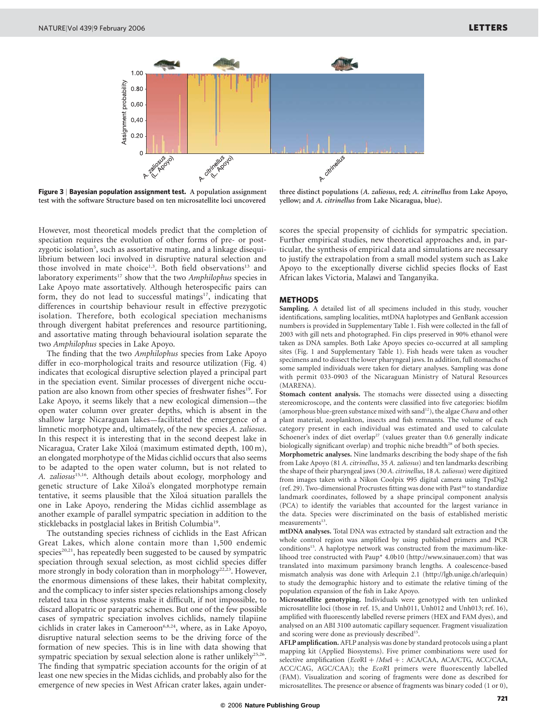

Figure 3 | Bayesian population assignment test. A population assignment test with the software Structure based on ten microsatellite loci uncovered

three distinct populations (A. zaliosus, red; A. citrinellus from Lake Apoyo, yellow; and A. citrinellus from Lake Nicaragua, blue).

However, most theoretical models predict that the completion of speciation requires the evolution of other forms of pre- or postzygotic isolation<sup>5</sup>, such as assortative mating, and a linkage disequilibrium between loci involved in disruptive natural selection and those involved in mate choice<sup>1,3</sup>. Both field observations<sup>13</sup> and laboratory experiments<sup>17</sup> show that the two Amphilophus species in Lake Apoyo mate assortatively. Although heterospecific pairs can form, they do not lead to successful matings<sup>17</sup>, indicating that differences in courtship behaviour result in effective prezygotic isolation. Therefore, both ecological speciation mechanisms through divergent habitat preferences and resource partitioning, and assortative mating through behavioural isolation separate the two Amphilophus species in Lake Apoyo.

The finding that the two Amphilophus species from Lake Apoyo differ in eco-morphological traits and resource utilization (Fig. 4) indicates that ecological disruptive selection played a principal part in the speciation event. Similar processes of divergent niche occupation are also known from other species of freshwater fishes<sup>19</sup>. For Lake Apoyo, it seems likely that a new ecological dimension—the open water column over greater depths, which is absent in the shallow large Nicaraguan lakes—facilitated the emergence of a limnetic morphotype and, ultimately, of the new species A. zaliosus. In this respect it is interesting that in the second deepest lake in Nicaragua, Crater Lake Xiloá (maximum estimated depth, 100 m), an elongated morphotype of the Midas cichlid occurs that also seems to be adapted to the open water column, but is not related to A. zaliosus<sup>15,16</sup>. Although details about ecology, morphology and genetic structure of Lake Xiloá's elongated morphotype remain tentative, it seems plausible that the Xiloá situation parallels the one in Lake Apoyo, rendering the Midas cichlid assemblage as another example of parallel sympatric speciation in addition to the sticklebacks in postglacial lakes in British Columbia<sup>19</sup>.

The outstanding species richness of cichlids in the East African Great Lakes, which alone contain more than 1,500 endemic species<sup>20,21</sup>, has repeatedly been suggested to be caused by sympatric speciation through sexual selection, as most cichlid species differ more strongly in body coloration than in morphology<sup>22,23</sup>. However, the enormous dimensions of these lakes, their habitat complexity, and the complicacy to infer sister species relationships among closely related taxa in those systems make it difficult, if not impossible, to discard allopatric or parapatric schemes. But one of the few possible cases of sympatric speciation involves cichlids, namely tilapiine cichlids in crater lakes in Cameroon<sup>6,8,24</sup>, where, as in Lake Apoyo, disruptive natural selection seems to be the driving force of the formation of new species. This is in line with data showing that sympatric speciation by sexual selection alone is rather unlikely $25,26$ . The finding that sympatric speciation accounts for the origin of at least one new species in the Midas cichlids, and probably also for the emergence of new species in West African crater lakes, again underscores the special propensity of cichlids for sympatric speciation. Further empirical studies, new theoretical approaches and, in particular, the synthesis of empirical data and simulations are necessary to justify the extrapolation from a small model system such as Lake Apoyo to the exceptionally diverse cichlid species flocks of East African lakes Victoria, Malawi and Tanganyika.

## METHODS

Sampling. A detailed list of all specimens included in this study, voucher identifications, sampling localities, mtDNA haplotypes and GenBank accession numbers is provided in Supplementary Table 1. Fish were collected in the fall of 2003 with gill nets and photographed. Fin clips preserved in 90% ethanol were taken as DNA samples. Both Lake Apoyo species co-occurred at all sampling sites (Fig. 1 and Supplementary Table 1). Fish heads were taken as voucher specimens and to dissect the lower pharyngeal jaws. In addition, full stomachs of some sampled individuals were taken for dietary analyses. Sampling was done with permit 033-0903 of the Nicaraguan Ministry of Natural Resources (MARENA).

Stomach content analysis. The stomachs were dissected using a dissecting stereomicroscope, and the contents were classified into five categories: biofilm (amorphous blue-green substance mixed with sand<sup>12</sup>), the algae *Chara* and other plant material, zooplankton, insects and fish remnants. The volume of each category present in each individual was estimated and used to calculate Schoener's index of diet overlap<sup>27</sup> (values greater than  $0.6$  generally indicate biologically significant overlap) and trophic niche breadth<sup>28</sup> of both species.

Morphometric analyses. Nine landmarks describing the body shape of the fish from Lake Apoyo (81 A. citrinellus, 35 A. zaliosus) and ten landmarks describing the shape of their pharyngeal jaws (30 A. citrinellus, 18 A. zaliosus) were digitized from images taken with a Nikon Coolpix 995 digital camera using TpsDig2 (ref. 29). Two-dimensional Procrustes fitting was done with Past<sup>30</sup> to standardize landmark coordinates, followed by a shape principal component analysis (PCA) to identify the variables that accounted for the largest variance in the data. Species were discriminated on the basis of established meristic measurements<sup>13</sup>.

mtDNA analyses. Total DNA was extracted by standard salt extraction and the whole control region was amplified by using published primers and PCR conditions<sup>15</sup>. A haplotype network was constructed from the maximum-likelihood tree constructed with Paup\* 4.0b10 (http://www.sinauer.com) that was translated into maximum parsimony branch lengths. A coalescence-based mismatch analysis was done with Arlequin 2.1 (http://lgb.unige.ch/arlequin) to study the demographic history and to estimate the relative timing of the population expansion of the fish in Lake Apoyo.

Microsatellite genotyping. Individuals were genotyped with ten unlinked microsatellite loci (those in ref. 15, and Unh011, Unh012 and Unh013; ref. 16), amplified with fluorescently labelled reverse primers (HEX and FAM dyes), and analysed on an ABI 3100 automatic capillary sequencer. Fragment visualization and scoring were done as previously described<sup>15</sup>.

AFLP amplification. AFLP analysis was done by standard protocols using a plant mapping kit (Applied Biosystems). Five primer combinations were used for selective amplification (EcoRI + /MseI + : ACA/CAA, ACA/CTG, ACC/CAA, ACC/CAG, AGC/CAA); the EcoRI primers were fluorescently labelled (FAM). Visualization and scoring of fragments were done as described for microsatellites. The presence or absence of fragments was binary coded (1 or 0),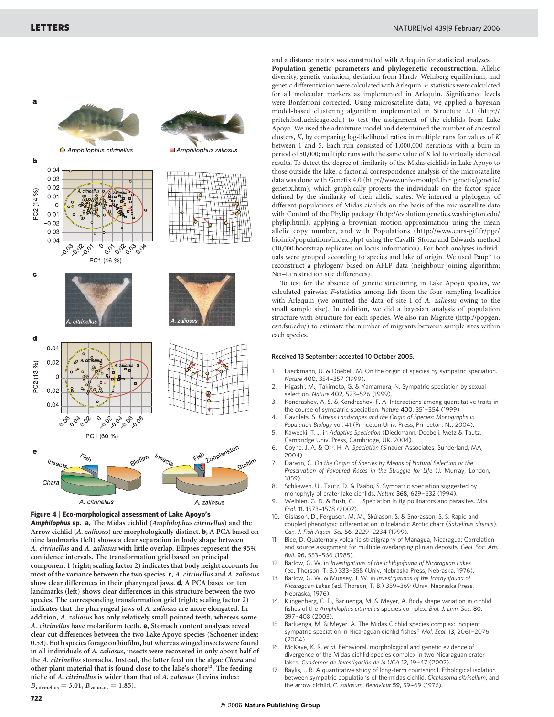a



Amphilophus sp. a, The Midas cichlid (Amphilophus citrinellus) and the Arrow cichlid (A. zaliosus) are morphologically distinct. b, A PCA based on nine landmarks (left) shows a clear separation in body shape between A. citrinellus and A. zaliosus with little overlap. Ellipses represent the 95% confidence intervals. The transformation grid based on principal component 1 (right; scaling factor 2) indicates that body height accounts for most of the variance between the two species. c, A. citrinellus and A. zaliosus show clear differences in their pharyngeal jaws. d, A PCA based on ten landmarks (left) shows clear differences in this structure between the two species. The corresponding transformation grid (right; scaling factor 2) indicates that the pharyngeal jaws of A. zaliosus are more elongated. In addition, A. zaliosus has only relatively small pointed teeth, whereas some A. citrinellus have molariform teeth. e, Stomach content analyses reveal clear-cut differences between the two Lake Apoyo species (Schoener index: 0.53). Both species forage on biofilm, but whereas winged insects were found in all individuals of A. zaliosus, insects were recovered in only about half of the A. citrinellus stomachs. Instead, the latter feed on the algae Chara and other plant material that is found close to the lake's shore<sup>12</sup>. The feeding niche of A. citrinellus is wider than that of A. zaliosus (Levins index:  $B_{\text{citrinellus}} = 3.01, B_{\text{zaliosus}} = 1.85$ .

and a distance matrix was constructed with Arlequin for statistical analyses. Population genetic parameters and phylogenetic reconstruction. Allelic diversity, genetic variation, deviation from Hardy–Weinberg equilibrium, and genetic differentiation were calculated with Arlequin. F-statistics were calculated for all molecular markers as implemented in Arlequin. Significance levels were Bonferroni-corrected. Using microsatellite data, we applied a bayesian

model-based clustering algorithm implemented in Structure 2.1 (http:// pritch.bsd.uchicago.edu) to test the assignment of the cichlids from Lake Apoyo. We used the admixture model and determined the number of ancestral clusters, K, by comparing log-likelihood ratios in multiple runs for values of K between 1 and 5. Each run consisted of 1,000,000 iterations with a burn-in period of 50,000; multiple runs with the same value of K led to virtually identical results. To detect the degree of similarity of the Midas cichlids in Lake Apoyo to those outside the lake, a factorial correspondence analysis of the microsatellite data was done with Genetix 4.0 (http://www.univ-montp2.fr/~genetix/genetix/ genetix.htm), which graphically projects the individuals on the factor space defined by the similarity of their allelic states. We inferred a phylogeny of different populations of Midas cichlids on the basis of the microsatellite data with Contml of the Phylip package (http://evolution.genetics.washington.edu/ phylip.html), applying a brownian motion approximation using the mean allelic copy number, and with Populations (http://www.cnrs-gif.fr/pge/ bioinfo/populations/index.php) using the Cavalli–Sforza and Edwards method (10,000 bootstrap replicates on locus information). For both analyses individuals were grouped according to species and lake of origin. We used Paup\* to reconstruct a phylogeny based on AFLP data (neighbour-joining algorithm; Nei–Li restriction site differences).

To test for the absence of genetic structuring in Lake Apoyo species, we calculated pairwise F-statistics among fish from the four sampling localities with Arlequin (we omitted the data of site I of A. zaliosus owing to the small sample size). In addition, we did a bayesian analysis of population structure with Structure for each species. We also ran Migrate (http://popgen. csit.fsu.edu/) to estimate the number of migrants between sample sites within each species.

## Received 13 September; accepted 10 October 2005.

- 1. Dieckmann, U. & Doebeli, M. On the origin of species by sympatric speciation. Nature 400, 354-357 (1999).
- 2. Higashi, M., Takimoto, G. & Yamamura, N. Sympatric speciation by sexual selection. Nature 402, 523-526 (1999).
- 3. Kondrashov, A. S. & Kondrashov, F. A. Interactions among quantitative traits in the course of sympatric speciation. Nature 400, 351-354 (1999).
- 4. Gavrilets, S. Fitness Landscapes and the Origin of Species: Monographs in Population Biology vol. 41 (Princeton Univ. Press, Princeton, NJ, 2004).
- 5. Kawecki, T. J. in Adaptive Speciation (Dieckmann, Doebeli, Metz & Tautz, Cambridge Univ. Press, Cambridge, UK, 2004).
- 6. Coyne, J. A. & Orr, H. A. Speciation (Sinauer Associates, Sunderland, MA, 2004)
- 7. Darwin, C. On the Origin of Species by Means of Natural Selection or the Preservation of Favoured Races in the Struggle for Life (J. Murray, London, 1859).
- 8. Schliewen, U., Tautz, D. & Pääbo, S. Sympatric speciation suggested by monophyly of crater lake cichlids. Nature 368, 629-632 (1994).
- 9. Weiblen, G. D. & Bush, G. L. Speciation in fig pollinators and parasites. Mol. Ecol. 11, 1573–-1578 (2002).
- 10. Gíslason, D., Ferguson, M. M., Skúlason, S. & Snorasson, S. S. Rapid and coupled phenotypic differentiation in Icelandic Arctic charr (Salvelinus alpinus). Can. J. Fish Aquat. Sci. 56, 2229-2234 (1999).
- Bice, D. Quaternary volcanic stratigraphy of Managua, Nicaragua: Correlation and source assignment for multiple overlapping plinian deposits. Geol. Soc. Am. Bull. 96, 553-566 (1985).
- 12. Barlow, G. W. in Investigations of the Ichthyofauna of Nicaraguan Lakes (ed. Thorson, T. B.) 333-358 (Univ. Nebraska Press, Nebraska, 1976).
- Barlow, G. W. & Munsey, J. W. in Investigations of the Ichthyofauna of Nicaraguan Lakes (ed. Thorson, T. B.) 359-369 (Univ. Nebraska Press, Nebraska, 1976).
- Klingenberg, C. P., Barluenga, M. & Meyer, A. Body shape variation in cichlid fishes of the Amphilophus citrinellus species complex. Biol. J. Linn. Soc. 80, 397–408 (2003)
- Barluenga, M. & Meyer, A. The Midas Cichlid species complex: incipient sympatric speciation in Nicaraguan cichlid fishes? Mol. Ecol. 13, 2061-2076 (2004).
- 16. McKaye, K. R. et al. Behavioral, morphological and genetic evidence of divergence of the Midas cichlid species complex in two Nicaraguan crater lakes. Cuadernos de Investigación de la UCA 12, 19-47 (2002).
- 17. Baylis, J. R. A quantitative study of long-term courtship: I. Ethological isolation between sympatric populations of the midas cichlid, Cichlasoma citrinellum, and the arrow cichlid, C. zaliosum. Behaviour 59, 59-69 (1976).